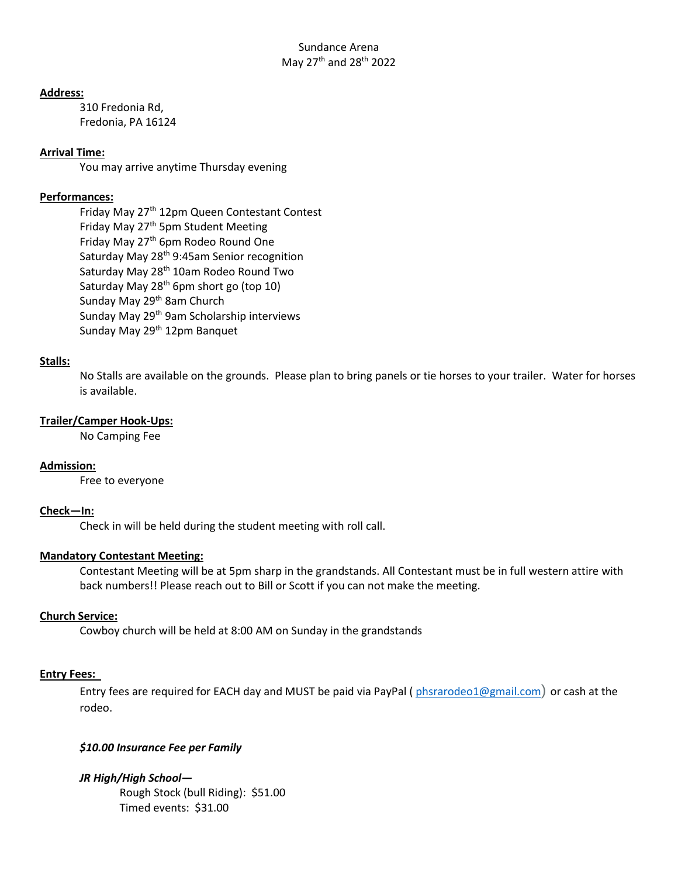#### **Address:**

310 Fredonia Rd, Fredonia, PA 16124

# **Arrival Time:**

You may arrive anytime Thursday evening

### **Performances:**

Friday May 27<sup>th</sup> 12pm Queen Contestant Contest Friday May 27<sup>th</sup> 5pm Student Meeting Friday May 27<sup>th</sup> 6pm Rodeo Round One Saturday May 28<sup>th</sup> 9:45am Senior recognition Saturday May 28<sup>th</sup> 10am Rodeo Round Two Saturday May 28<sup>th</sup> 6pm short go (top 10) Sunday May 29<sup>th</sup> 8am Church Sunday May 29th 9am Scholarship interviews Sunday May 29<sup>th</sup> 12pm Banquet

# **Stalls:**

No Stalls are available on the grounds. Please plan to bring panels or tie horses to your trailer. Water for horses is available.

#### **Trailer/Camper Hook-Ups:**

No Camping Fee

# **Admission:**

Free to everyone

#### **Check—In:**

Check in will be held during the student meeting with roll call.

# **Mandatory Contestant Meeting:**

Contestant Meeting will be at 5pm sharp in the grandstands. All Contestant must be in full western attire with back numbers!! Please reach out to Bill or Scott if you can not make the meeting.

# **Church Service:**

Cowboy church will be held at 8:00 AM on Sunday in the grandstands

# **Entry Fees:**

Entry fees are required for EACH day and MUST be paid via PayPal (phsrarodeo1@gmail.com) or cash at the rodeo.

# *\$10.00 Insurance Fee per Family*

*JR High/High School—* Rough Stock (bull Riding): \$51.00 Timed events: \$31.00